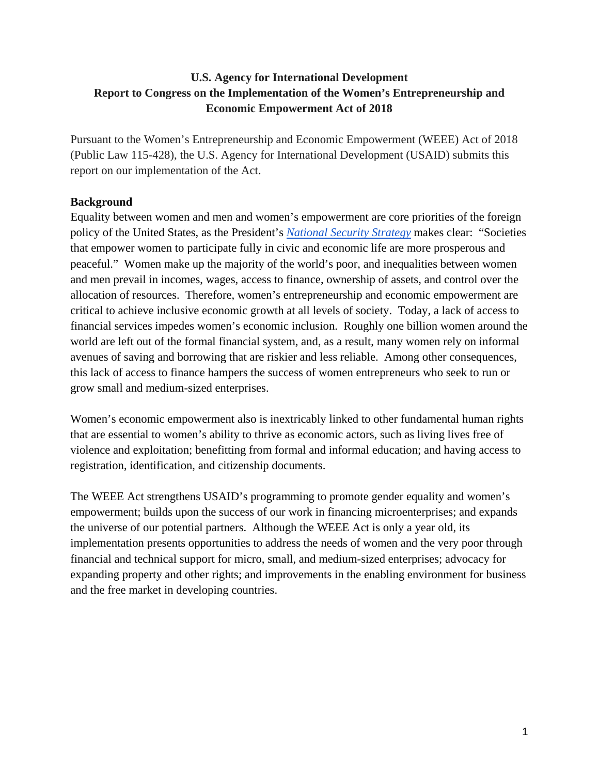# **U.S. Agency for International Development Report to Congress on the Implementation of the Women's Entrepreneurship and Economic Empowerment Act of 2018**

Pursuant to the Women's Entrepreneurship and Economic Empowerment (WEEE) Act of 2018 (Public Law 115-428), the U.S. Agency for International Development (USAID) submits this report on our implementation of the Act.

## **Background**

Equality between women and men and women's empowerment are core priorities of the foreign policy of the United States, as the President's *[National Security Strategy](https://www.whitehouse.gov/wp-content/uploads/2017/12/NSS-Final-12-18-2017-0905.pdf)* makes clear: "Societies that empower women to participate fully in civic and economic life are more prosperous and peaceful." Women make up the majority of the world's poor, and inequalities between women and men prevail in incomes, wages, access to finance, ownership of assets, and control over the allocation of resources. Therefore, women's entrepreneurship and economic empowerment are critical to achieve inclusive economic growth at all levels of society. Today, a lack of access to financial services impedes women's economic inclusion. Roughly one billion women around the world are left out of the formal financial system, and, as a result, many women rely on informal avenues of saving and borrowing that are riskier and less reliable. Among other consequences, this lack of access to finance hampers the success of women entrepreneurs who seek to run or grow small and medium-sized enterprises.

Women's economic empowerment also is inextricably linked to other fundamental human rights that are essential to women's ability to thrive as economic actors, such as living lives free of violence and exploitation; benefitting from formal and informal education; and having access to registration, identification, and citizenship documents.

The WEEE Act strengthens USAID's programming to promote gender equality and women's empowerment; builds upon the success of our work in financing microenterprises; and expands the universe of our potential partners. Although the WEEE Act is only a year old, its implementation presents opportunities to address the needs of women and the very poor through financial and technical support for micro, small, and medium-sized enterprises; advocacy for expanding property and other rights; and improvements in the enabling environment for business and the free market in developing countries.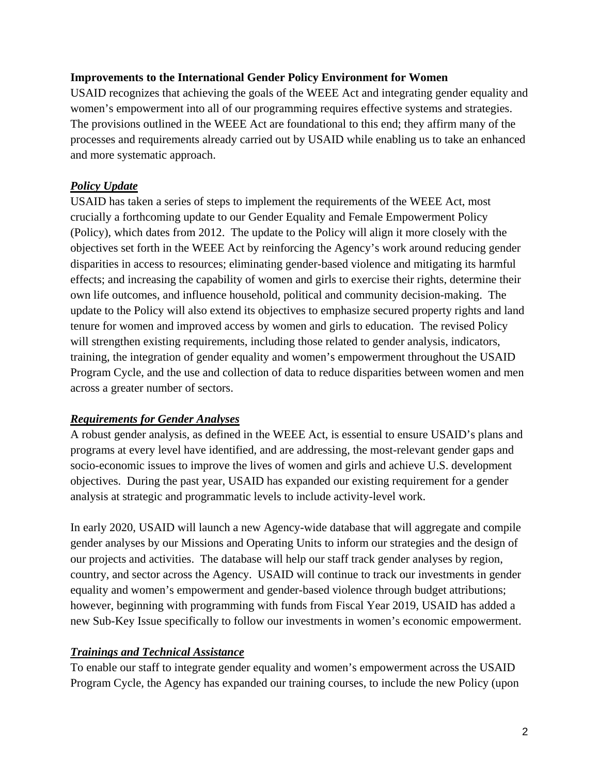#### **Improvements to the International Gender Policy Environment for Women**

USAID recognizes that achieving the goals of the WEEE Act and integrating gender equality and women's empowerment into all of our programming requires effective systems and strategies. The provisions outlined in the WEEE Act are foundational to this end; they affirm many of the processes and requirements already carried out by USAID while enabling us to take an enhanced and more systematic approach.

### *Policy Update*

USAID has taken a series of steps to implement the requirements of the WEEE Act, most crucially a forthcoming update to our Gender Equality and Female Empowerment Policy (Policy), which dates from 2012. The update to the Policy will align it more closely with the objectives set forth in the WEEE Act by reinforcing the Agency's work around reducing gender disparities in access to resources; eliminating gender-based violence and mitigating its harmful effects; and increasing the capability of women and girls to exercise their rights, determine their own life outcomes, and influence household, political and community decision-making. The update to the Policy will also extend its objectives to emphasize secured property rights and land tenure for women and improved access by women and girls to education. The revised Policy will strengthen existing requirements, including those related to gender analysis, indicators, training, the integration of gender equality and women's empowerment throughout the USAID Program Cycle, and the use and collection of data to reduce disparities between women and men across a greater number of sectors.

#### *Requirements for Gender Analyses*

A robust gender analysis, as defined in the WEEE Act, is essential to ensure USAID's plans and programs at every level have identified, and are addressing, the most-relevant gender gaps and socio-economic issues to improve the lives of women and girls and achieve U.S. development objectives. During the past year, USAID has expanded our existing requirement for a gender analysis at strategic and programmatic levels to include activity-level work.

In early 2020, USAID will launch a new Agency-wide database that will aggregate and compile gender analyses by our Missions and Operating Units to inform our strategies and the design of our projects and activities. The database will help our staff track gender analyses by region, country, and sector across the Agency. USAID will continue to track our investments in gender equality and women's empowerment and gender-based violence through budget attributions; however, beginning with programming with funds from Fiscal Year 2019, USAID has added a new Sub-Key Issue specifically to follow our investments in women's economic empowerment.

#### *Trainings and Technical Assistance*

To enable our staff to integrate gender equality and women's empowerment across the USAID Program Cycle, the Agency has expanded our training courses, to include the new Policy (upon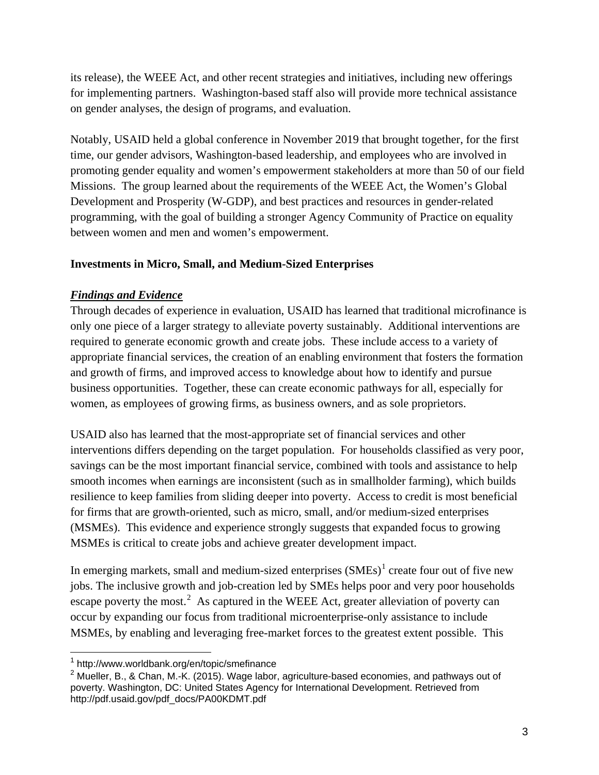its release), the WEEE Act, and other recent strategies and initiatives, including new offerings for implementing partners. Washington-based staff also will provide more technical assistance on gender analyses, the design of programs, and evaluation.

Notably, USAID held a global conference in November 2019 that brought together, for the first time, our gender advisors, Washington-based leadership, and employees who are involved in promoting gender equality and women's empowerment stakeholders at more than 50 of our field Missions. The group learned about the requirements of the WEEE Act, the Women's Global Development and Prosperity (W-GDP), and best practices and resources in gender-related programming, with the goal of building a stronger Agency Community of Practice on equality between women and men and women's empowerment.

#### **Investments in Micro, Small, and Medium-Sized Enterprises**

## *Findings and Evidence*

Through decades of experience in evaluation, USAID has learned that traditional microfinance is only one piece of a larger strategy to alleviate poverty sustainably. Additional interventions are required to generate economic growth and create jobs. These include access to a variety of appropriate financial services, the creation of an enabling environment that fosters the formation and growth of firms, and improved access to knowledge about how to identify and pursue business opportunities. Together, these can create economic pathways for all, especially for women, as employees of growing firms, as business owners, and as sole proprietors.

USAID also has learned that the most-appropriate set of financial services and other interventions differs depending on the target population. For households classified as very poor, savings can be the most important financial service, combined with tools and assistance to help smooth incomes when earnings are inconsistent (such as in smallholder farming), which builds resilience to keep families from sliding deeper into poverty. Access to credit is most beneficial for firms that are growth-oriented, such as micro, small, and/or medium-sized enterprises (MSMEs). This evidence and experience strongly suggests that expanded focus to growing MSMEs is critical to create jobs and achieve greater development impact.

In emerging markets, small and medium-sized enterprises  $(SMEs)^1$  $(SMEs)^1$  create four out of five new jobs. The inclusive growth and job-creation led by SMEs helps poor and very poor households escape poverty the most.<sup>[2](#page-2-1)</sup> As captured in the WEEE Act, greater alleviation of poverty can occur by expanding our focus from traditional microenterprise-only assistance to include MSMEs, by enabling and leveraging free-market forces to the greatest extent possible. This

<span id="page-2-0"></span> <sup>1</sup> <http://www.worldbank.org/en/topic/smefinance>

<span id="page-2-1"></span><sup>&</sup>lt;sup>2</sup> Mueller, B., & Chan, M.-K. (2015). Wage labor, agriculture-based economies, and pathways out of poverty. Washington, DC: United States Agency for International Development. Retrieved fro[m](http://pdf.usaid.gov/pdf_docs/PA00KDMT.pdf) [http://pdf.usaid.gov/pdf\\_docs/PA00KDMT.pdf](http://pdf.usaid.gov/pdf_docs/PA00KDMT.pdf)